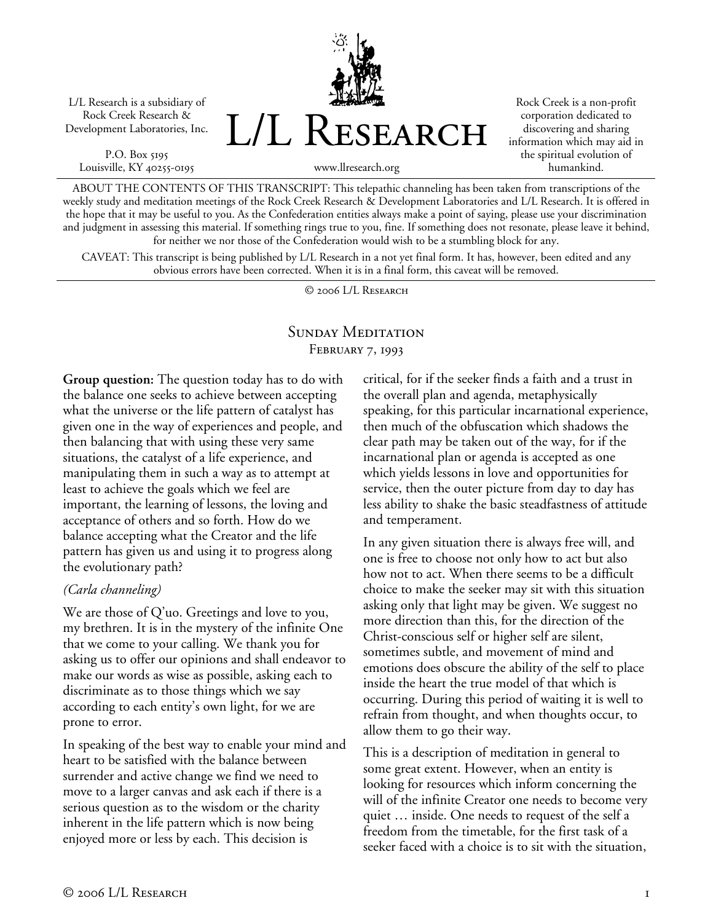L/L Research is a subsidiary of Rock Creek Research & Development Laboratories, Inc.

P.O. Box 5195 Louisville, KY 40255-0195 L/L Research

Rock Creek is a non-profit corporation dedicated to discovering and sharing information which may aid in the spiritual evolution of humankind.

www.llresearch.org

ABOUT THE CONTENTS OF THIS TRANSCRIPT: This telepathic channeling has been taken from transcriptions of the weekly study and meditation meetings of the Rock Creek Research & Development Laboratories and L/L Research. It is offered in the hope that it may be useful to you. As the Confederation entities always make a point of saying, please use your discrimination and judgment in assessing this material. If something rings true to you, fine. If something does not resonate, please leave it behind, for neither we nor those of the Confederation would wish to be a stumbling block for any.

CAVEAT: This transcript is being published by L/L Research in a not yet final form. It has, however, been edited and any obvious errors have been corrected. When it is in a final form, this caveat will be removed.

© 2006 L/L Research

## SUNDAY MEDITATION February 7, 1993

**Group question:** The question today has to do with the balance one seeks to achieve between accepting what the universe or the life pattern of catalyst has given one in the way of experiences and people, and then balancing that with using these very same situations, the catalyst of a life experience, and manipulating them in such a way as to attempt at least to achieve the goals which we feel are important, the learning of lessons, the loving and acceptance of others and so forth. How do we balance accepting what the Creator and the life pattern has given us and using it to progress along the evolutionary path?

## *(Carla channeling)*

We are those of Q'uo. Greetings and love to you, my brethren. It is in the mystery of the infinite One that we come to your calling. We thank you for asking us to offer our opinions and shall endeavor to make our words as wise as possible, asking each to discriminate as to those things which we say according to each entity's own light, for we are prone to error.

In speaking of the best way to enable your mind and heart to be satisfied with the balance between surrender and active change we find we need to move to a larger canvas and ask each if there is a serious question as to the wisdom or the charity inherent in the life pattern which is now being enjoyed more or less by each. This decision is

critical, for if the seeker finds a faith and a trust in the overall plan and agenda, metaphysically speaking, for this particular incarnational experience, then much of the obfuscation which shadows the clear path may be taken out of the way, for if the incarnational plan or agenda is accepted as one which yields lessons in love and opportunities for service, then the outer picture from day to day has less ability to shake the basic steadfastness of attitude and temperament.

In any given situation there is always free will, and one is free to choose not only how to act but also how not to act. When there seems to be a difficult choice to make the seeker may sit with this situation asking only that light may be given. We suggest no more direction than this, for the direction of the Christ-conscious self or higher self are silent, sometimes subtle, and movement of mind and emotions does obscure the ability of the self to place inside the heart the true model of that which is occurring. During this period of waiting it is well to refrain from thought, and when thoughts occur, to allow them to go their way.

This is a description of meditation in general to some great extent. However, when an entity is looking for resources which inform concerning the will of the infinite Creator one needs to become very quiet … inside. One needs to request of the self a freedom from the timetable, for the first task of a seeker faced with a choice is to sit with the situation,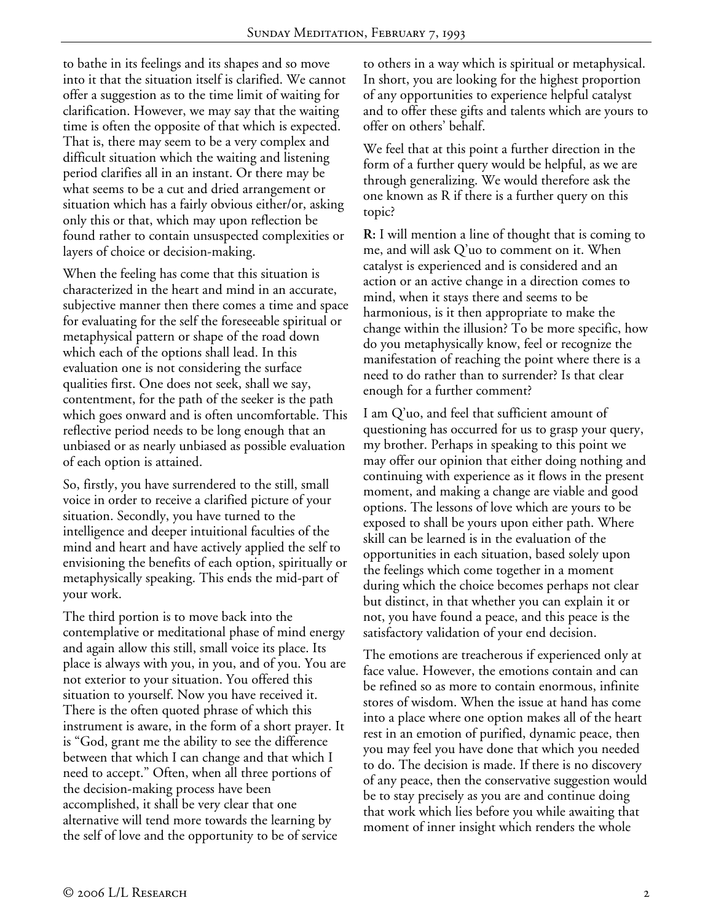to bathe in its feelings and its shapes and so move into it that the situation itself is clarified. We cannot offer a suggestion as to the time limit of waiting for clarification. However, we may say that the waiting time is often the opposite of that which is expected. That is, there may seem to be a very complex and difficult situation which the waiting and listening period clarifies all in an instant. Or there may be what seems to be a cut and dried arrangement or situation which has a fairly obvious either/or, asking only this or that, which may upon reflection be found rather to contain unsuspected complexities or layers of choice or decision-making.

When the feeling has come that this situation is characterized in the heart and mind in an accurate, subjective manner then there comes a time and space for evaluating for the self the foreseeable spiritual or metaphysical pattern or shape of the road down which each of the options shall lead. In this evaluation one is not considering the surface qualities first. One does not seek, shall we say, contentment, for the path of the seeker is the path which goes onward and is often uncomfortable. This reflective period needs to be long enough that an unbiased or as nearly unbiased as possible evaluation of each option is attained.

So, firstly, you have surrendered to the still, small voice in order to receive a clarified picture of your situation. Secondly, you have turned to the intelligence and deeper intuitional faculties of the mind and heart and have actively applied the self to envisioning the benefits of each option, spiritually or metaphysically speaking. This ends the mid-part of your work.

The third portion is to move back into the contemplative or meditational phase of mind energy and again allow this still, small voice its place. Its place is always with you, in you, and of you. You are not exterior to your situation. You offered this situation to yourself. Now you have received it. There is the often quoted phrase of which this instrument is aware, in the form of a short prayer. It is "God, grant me the ability to see the difference between that which I can change and that which I need to accept." Often, when all three portions of the decision-making process have been accomplished, it shall be very clear that one alternative will tend more towards the learning by the self of love and the opportunity to be of service

to others in a way which is spiritual or metaphysical. In short, you are looking for the highest proportion of any opportunities to experience helpful catalyst and to offer these gifts and talents which are yours to offer on others' behalf.

We feel that at this point a further direction in the form of a further query would be helpful, as we are through generalizing. We would therefore ask the one known as R if there is a further query on this topic?

**R:** I will mention a line of thought that is coming to me, and will ask Q'uo to comment on it. When catalyst is experienced and is considered and an action or an active change in a direction comes to mind, when it stays there and seems to be harmonious, is it then appropriate to make the change within the illusion? To be more specific, how do you metaphysically know, feel or recognize the manifestation of reaching the point where there is a need to do rather than to surrender? Is that clear enough for a further comment?

I am Q'uo, and feel that sufficient amount of questioning has occurred for us to grasp your query, my brother. Perhaps in speaking to this point we may offer our opinion that either doing nothing and continuing with experience as it flows in the present moment, and making a change are viable and good options. The lessons of love which are yours to be exposed to shall be yours upon either path. Where skill can be learned is in the evaluation of the opportunities in each situation, based solely upon the feelings which come together in a moment during which the choice becomes perhaps not clear but distinct, in that whether you can explain it or not, you have found a peace, and this peace is the satisfactory validation of your end decision.

The emotions are treacherous if experienced only at face value. However, the emotions contain and can be refined so as more to contain enormous, infinite stores of wisdom. When the issue at hand has come into a place where one option makes all of the heart rest in an emotion of purified, dynamic peace, then you may feel you have done that which you needed to do. The decision is made. If there is no discovery of any peace, then the conservative suggestion would be to stay precisely as you are and continue doing that work which lies before you while awaiting that moment of inner insight which renders the whole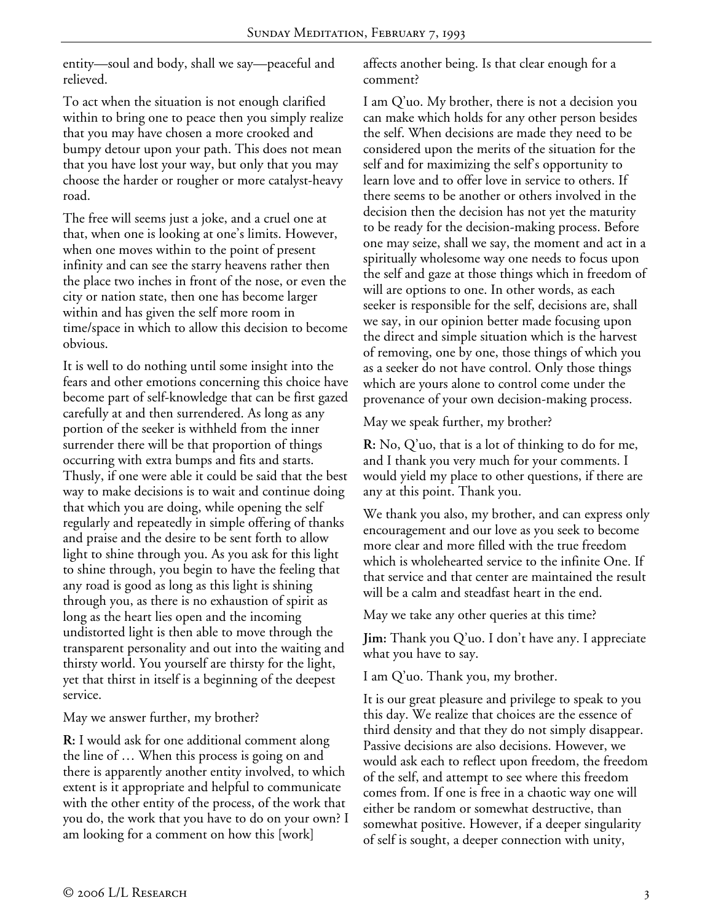entity—soul and body, shall we say—peaceful and relieved.

To act when the situation is not enough clarified within to bring one to peace then you simply realize that you may have chosen a more crooked and bumpy detour upon your path. This does not mean that you have lost your way, but only that you may choose the harder or rougher or more catalyst-heavy road.

The free will seems just a joke, and a cruel one at that, when one is looking at one's limits. However, when one moves within to the point of present infinity and can see the starry heavens rather then the place two inches in front of the nose, or even the city or nation state, then one has become larger within and has given the self more room in time/space in which to allow this decision to become obvious.

It is well to do nothing until some insight into the fears and other emotions concerning this choice have become part of self-knowledge that can be first gazed carefully at and then surrendered. As long as any portion of the seeker is withheld from the inner surrender there will be that proportion of things occurring with extra bumps and fits and starts. Thusly, if one were able it could be said that the best way to make decisions is to wait and continue doing that which you are doing, while opening the self regularly and repeatedly in simple offering of thanks and praise and the desire to be sent forth to allow light to shine through you. As you ask for this light to shine through, you begin to have the feeling that any road is good as long as this light is shining through you, as there is no exhaustion of spirit as long as the heart lies open and the incoming undistorted light is then able to move through the transparent personality and out into the waiting and thirsty world. You yourself are thirsty for the light, yet that thirst in itself is a beginning of the deepest service.

May we answer further, my brother?

**R:** I would ask for one additional comment along the line of … When this process is going on and there is apparently another entity involved, to which extent is it appropriate and helpful to communicate with the other entity of the process, of the work that you do, the work that you have to do on your own? I am looking for a comment on how this [work]

affects another being. Is that clear enough for a comment?

I am Q'uo. My brother, there is not a decision you can make which holds for any other person besides the self. When decisions are made they need to be considered upon the merits of the situation for the self and for maximizing the self's opportunity to learn love and to offer love in service to others. If there seems to be another or others involved in the decision then the decision has not yet the maturity to be ready for the decision-making process. Before one may seize, shall we say, the moment and act in a spiritually wholesome way one needs to focus upon the self and gaze at those things which in freedom of will are options to one. In other words, as each seeker is responsible for the self, decisions are, shall we say, in our opinion better made focusing upon the direct and simple situation which is the harvest of removing, one by one, those things of which you as a seeker do not have control. Only those things which are yours alone to control come under the provenance of your own decision-making process.

May we speak further, my brother?

**R:** No, Q'uo, that is a lot of thinking to do for me, and I thank you very much for your comments. I would yield my place to other questions, if there are any at this point. Thank you.

We thank you also, my brother, and can express only encouragement and our love as you seek to become more clear and more filled with the true freedom which is wholehearted service to the infinite One. If that service and that center are maintained the result will be a calm and steadfast heart in the end.

May we take any other queries at this time?

**Jim:** Thank you Q'uo. I don't have any. I appreciate what you have to say.

I am Q'uo. Thank you, my brother.

It is our great pleasure and privilege to speak to you this day. We realize that choices are the essence of third density and that they do not simply disappear. Passive decisions are also decisions. However, we would ask each to reflect upon freedom, the freedom of the self, and attempt to see where this freedom comes from. If one is free in a chaotic way one will either be random or somewhat destructive, than somewhat positive. However, if a deeper singularity of self is sought, a deeper connection with unity,